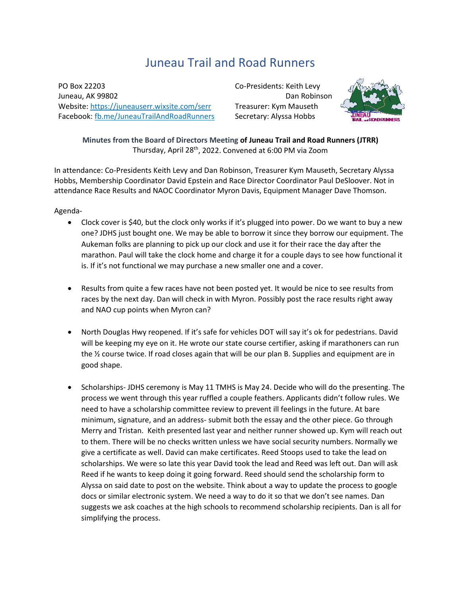## Juneau Trail and Road Runners

PO Box 22203 Juneau, AK 99802 Website:<https://juneauserr.wixsite.com/serr> Facebook[: fb.me/JuneauTrailAndRoadRunners](https://fb.me/JuneauTrailAndRoadRunners) Co-Presidents: Keith Levy Dan Robinson Treasurer: Kym Mauseth Secretary: Alyssa Hobbs



**Minutes from the Board of Directors Meeting of Juneau Trail and Road Runners (JTRR)** Thursday, April 28th, 2022. Convened at 6:00 PM via Zoom

In attendance: Co-Presidents Keith Levy and Dan Robinson, Treasurer Kym Mauseth, Secretary Alyssa Hobbs, Membership Coordinator David Epstein and Race Director Coordinator Paul DeSloover. Not in attendance Race Results and NAOC Coordinator Myron Davis, Equipment Manager Dave Thomson.

Agenda-

- Clock cover is \$40, but the clock only works if it's plugged into power. Do we want to buy a new one? JDHS just bought one. We may be able to borrow it since they borrow our equipment. The Aukeman folks are planning to pick up our clock and use it for their race the day after the marathon. Paul will take the clock home and charge it for a couple days to see how functional it is. If it's not functional we may purchase a new smaller one and a cover.
- Results from quite a few races have not been posted yet. It would be nice to see results from races by the next day. Dan will check in with Myron. Possibly post the race results right away and NAO cup points when Myron can?
- North Douglas Hwy reopened. If it's safe for vehicles DOT will say it's ok for pedestrians. David will be keeping my eye on it. He wrote our state course certifier, asking if marathoners can run the ½ course twice. If road closes again that will be our plan B. Supplies and equipment are in good shape.
- Scholarships- JDHS ceremony is May 11 TMHS is May 24. Decide who will do the presenting. The process we went through this year ruffled a couple feathers. Applicants didn't follow rules. We need to have a scholarship committee review to prevent ill feelings in the future. At bare minimum, signature, and an address- submit both the essay and the other piece. Go through Merry and Tristan. Keith presented last year and neither runner showed up. Kym will reach out to them. There will be no checks written unless we have social security numbers. Normally we give a certificate as well. David can make certificates. Reed Stoops used to take the lead on scholarships. We were so late this year David took the lead and Reed was left out. Dan will ask Reed if he wants to keep doing it going forward. Reed should send the scholarship form to Alyssa on said date to post on the website. Think about a way to update the process to google docs or similar electronic system. We need a way to do it so that we don't see names. Dan suggests we ask coaches at the high schools to recommend scholarship recipients. Dan is all for simplifying the process.